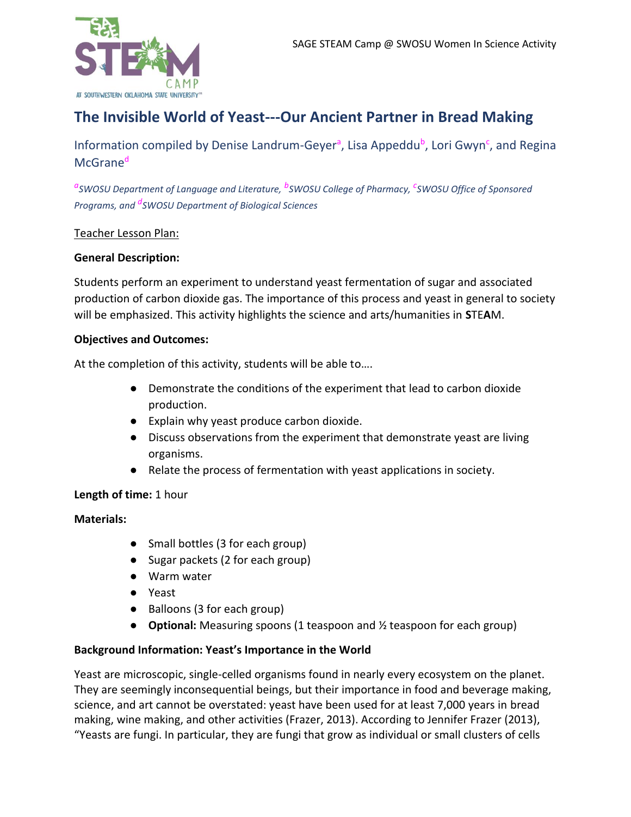

# **The Invisible World of Yeast---Our Ancient Partner in Bread Making**

Information compiled by Denise Landrum-Geyer<sup>a</sup>, Lisa Appeddu<sup>b</sup>, Lori Gwyn<sup>c</sup>, and Regina McGrane<sup>d</sup>

*a SWOSU Department of Language and Literature, <sup>b</sup> SWOSU College of Pharmacy, <sup>c</sup> SWOSU Office of Sponsored Programs, and <sup>d</sup> SWOSU Department of Biological Sciences*

## Teacher Lesson Plan:

#### **General Description:**

Students perform an experiment to understand yeast fermentation of sugar and associated production of carbon dioxide gas. The importance of this process and yeast in general to society will be emphasized. This activity highlights the science and arts/humanities in **S**TE**A**M.

#### **Objectives and Outcomes:**

At the completion of this activity, students will be able to….

- Demonstrate the conditions of the experiment that lead to carbon dioxide production.
- Explain why yeast produce carbon dioxide.
- Discuss observations from the experiment that demonstrate yeast are living organisms.
- Relate the process of fermentation with yeast applications in society.

## **Length of time:** 1 hour

## **Materials:**

- Small bottles (3 for each group)
- Sugar packets (2 for each group)
- Warm water
- Yeast
- Balloons (3 for each group)
- **Optional:** Measuring spoons (1 teaspoon and ½ teaspoon for each group)

## **Background Information: Yeast's Importance in the World**

Yeast are microscopic, single-celled organisms found in nearly every ecosystem on the planet. They are seemingly inconsequential beings, but their importance in food and beverage making, science, and art cannot be overstated: yeast have been used for at least 7,000 years in bread making, wine making, and other activities (Frazer, 2013). According to Jennifer Frazer (2013), "Yeasts are [fungi.](http://en.wikipedia.org/wiki/Fungus) In particular, they are fungi that grow as individual or small clusters of cells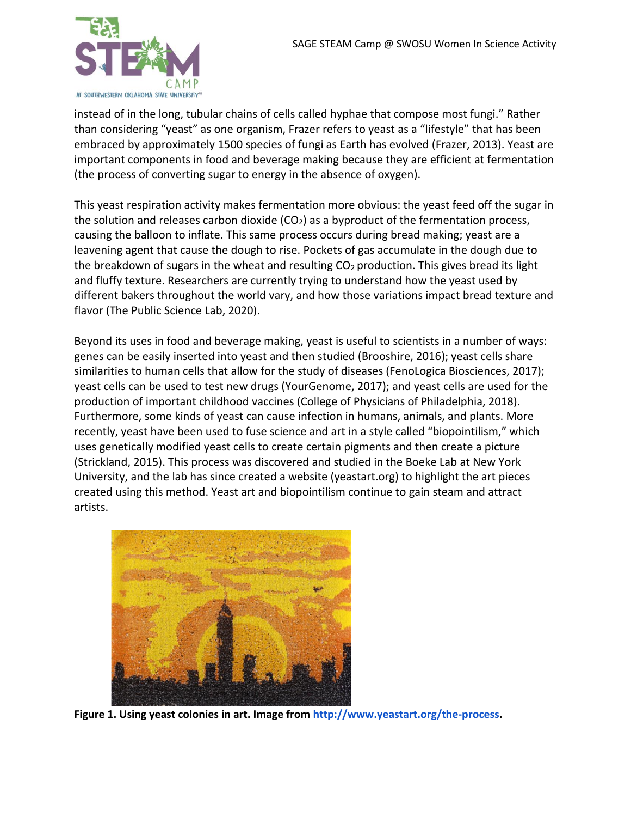

instead of in the long, tubular chains of cells called hyphae that compose most fungi." Rather than considering "yeast" as one organism, Frazer refers to yeast as a "lifestyle" that has been embraced by approximately 1500 species of fungi as Earth has evolved (Frazer, 2013). Yeast are important components in food and beverage making because they are efficient at fermentation (the process of converting sugar to energy in the absence of oxygen).

This yeast respiration activity makes fermentation more obvious: the yeast feed off the sugar in the solution and releases carbon dioxide  $(CO<sub>2</sub>)$  as a byproduct of the fermentation process, causing the balloon to inflate. This same process occurs during bread making; yeast are a leavening agent that cause the dough to rise. Pockets of gas accumulate in the dough due to the breakdown of sugars in the wheat and resulting  $CO<sub>2</sub>$  production. This gives bread its light and fluffy texture. Researchers are currently trying to understand how the yeast used by different bakers throughout the world vary, and how those variations impact bread texture and flavor (The Public Science Lab, 2020).

Beyond its uses in food and beverage making, yeast is useful to scientists in a number of ways: genes can be easily inserted into yeast and then studied (Brooshire, 2016); yeast cells share similarities to human cells that allow for the study of diseases (FenoLogica Biosciences, 2017); yeast cells can be used to test new drugs (YourGenome, 2017); and yeast cells are used for the production of important childhood vaccines (College of Physicians of Philadelphia, 2018). Furthermore, some kinds of yeast can cause infection in humans, animals, and plants. More recently, yeast have been used to fuse science and art in a style called "biopointilism," which uses genetically modified yeast cells to create certain pigments and then create a picture (Strickland, 2015). This process was discovered and studied in the Boeke Lab at New York University, and the lab has since created a website (yeastart.org) to highlight the art pieces created using this method. Yeast art and biopointilism continue to gain steam and attract artists.



**Figure 1. Using yeast colonies in art. Image fro[m http://www.yeastart.org/the-process.](http://www.yeastart.org/the-process)**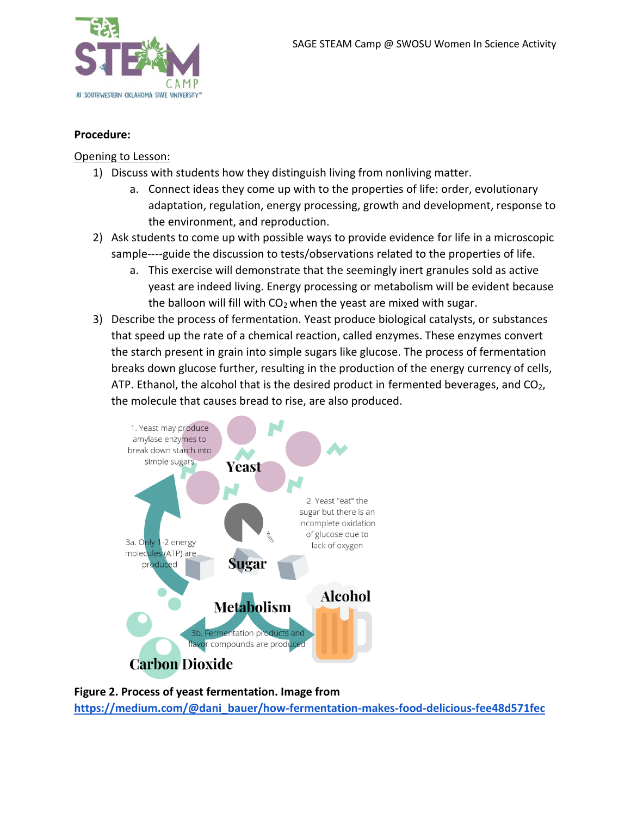

#### **Procedure:**

#### Opening to Lesson:

- 1) Discuss with students how they distinguish living from nonliving matter.
	- a. Connect ideas they come up with to the properties of life: order, evolutionary adaptation, regulation, energy processing, growth and development, response to the environment, and reproduction.
- 2) Ask students to come up with possible ways to provide evidence for life in a microscopic sample----guide the discussion to tests/observations related to the properties of life.
	- a. This exercise will demonstrate that the seemingly inert granules sold as active yeast are indeed living. Energy processing or metabolism will be evident because the balloon will fill with  $CO<sub>2</sub>$  when the yeast are mixed with sugar.
- 3) Describe the process of fermentation. Yeast produce biological catalysts, or substances that speed up the rate of a chemical reaction, called enzymes. These enzymes convert the starch present in grain into simple sugars like glucose. The process of fermentation breaks down glucose further, resulting in the production of the energy currency of cells, ATP. Ethanol, the alcohol that is the desired product in fermented beverages, and  $CO<sub>2</sub>$ , the molecule that causes bread to rise, are also produced.



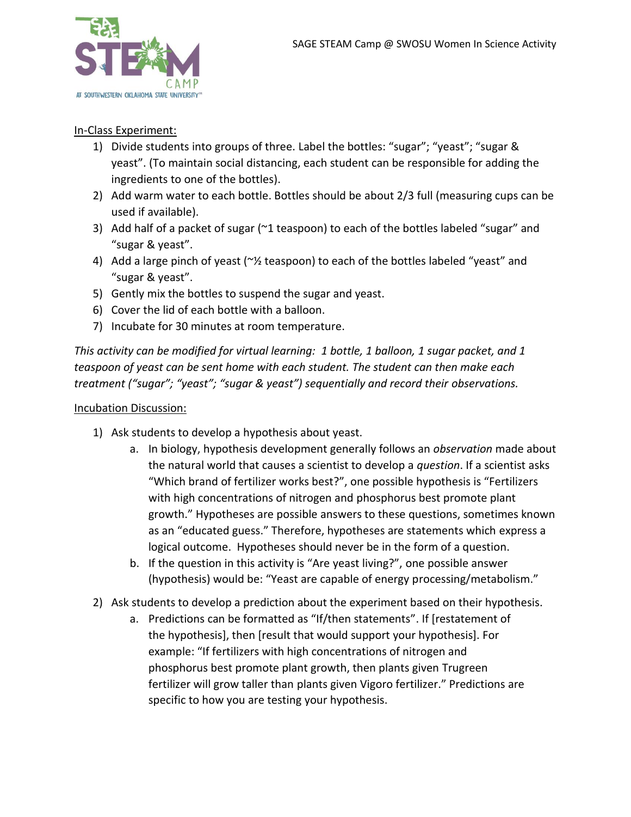

## In-Class Experiment:

- 1) Divide students into groups of three. Label the bottles: "sugar"; "yeast"; "sugar & yeast". (To maintain social distancing, each student can be responsible for adding the ingredients to one of the bottles).
- 2) Add warm water to each bottle. Bottles should be about 2/3 full (measuring cups can be used if available).
- 3) Add half of a packet of sugar (~1 teaspoon) to each of the bottles labeled "sugar" and "sugar & yeast".
- 4) Add a large pinch of yeast (~1/2 teaspoon) to each of the bottles labeled "yeast" and "sugar & yeast".
- 5) Gently mix the bottles to suspend the sugar and yeast.
- 6) Cover the lid of each bottle with a balloon.
- 7) Incubate for 30 minutes at room temperature.

*This activity can be modified for virtual learning: 1 bottle, 1 balloon, 1 sugar packet, and 1 teaspoon of yeast can be sent home with each student. The student can then make each treatment ("sugar"; "yeast"; "sugar & yeast") sequentially and record their observations.*

## Incubation Discussion:

- 1) Ask students to develop a hypothesis about yeast.
	- a. In biology, hypothesis development generally follows an *observation* made about the natural world that causes a scientist to develop a *question*. If a scientist asks "Which brand of fertilizer works best?", one possible hypothesis is "Fertilizers with high concentrations of nitrogen and phosphorus best promote plant growth." Hypotheses are possible answers to these questions, sometimes known as an "educated guess." Therefore, hypotheses are statements which express a logical outcome. Hypotheses should never be in the form of a question.
	- b. If the question in this activity is "Are yeast living?", one possible answer (hypothesis) would be: "Yeast are capable of energy processing/metabolism."
- 2) Ask students to develop a prediction about the experiment based on their hypothesis.
	- a. Predictions can be formatted as "If/then statements". If [restatement of the hypothesis], then [result that would support your hypothesis]. For example: "If fertilizers with high concentrations of nitrogen and phosphorus best promote plant growth, then plants given Trugreen fertilizer will grow taller than plants given Vigoro fertilizer." Predictions are specific to how you are testing your hypothesis.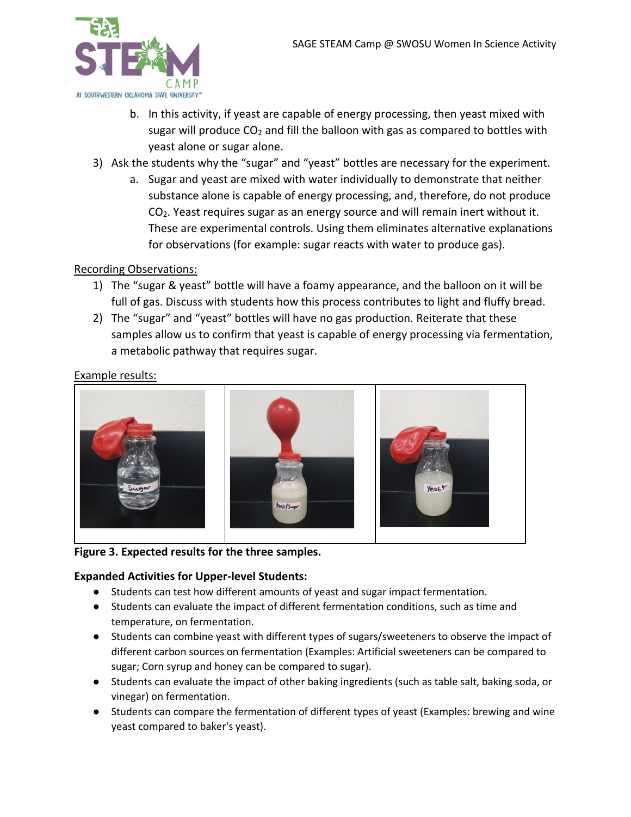

- b. In this activity, if yeast are capable of energy processing, then yeast mixed with sugar will produce  $CO<sub>2</sub>$  and fill the balloon with gas as compared to bottles with yeast alone or sugar alone.
- 3) Ask the students why the "sugar" and "yeast" bottles are necessary for the experiment.
	- a. Sugar and yeast are mixed with water individually to demonstrate that neither substance alone is capable of energy processing, and, therefore, do not produce CO2. Yeast requires sugar as an energy source and will remain inert without it. These are experimental controls. Using them eliminates alternative explanations for observations (for example: sugar reacts with water to produce gas).

## Recording Observations:

- 1) The "sugar & yeast" bottle will have a foamy appearance, and the balloon on it will be full of gas. Discuss with students how this process contributes to light and fluffy bread.
- 2) The "sugar" and "yeast" bottles will have no gas production. Reiterate that these samples allow us to confirm that yeast is capable of energy processing via fermentation, a metabolic pathway that requires sugar.

## Example results:



#### **Figure 3. Expected results for the three samples.**

## **Expanded Activities for Upper-level Students:**

- Students can test how different amounts of yeast and sugar impact fermentation.
- Students can evaluate the impact of different fermentation conditions, such as time and temperature, on fermentation.
- Students can combine yeast with different types of sugars/sweeteners to observe the impact of different carbon sources on fermentation (Examples: Artificial sweeteners can be compared to sugar; Corn syrup and honey can be compared to sugar).
- Students can evaluate the impact of other baking ingredients (such as table salt, baking soda, or vinegar) on fermentation.
- Students can compare the fermentation of different types of yeast (Examples: brewing and wine yeast compared to baker's yeast).